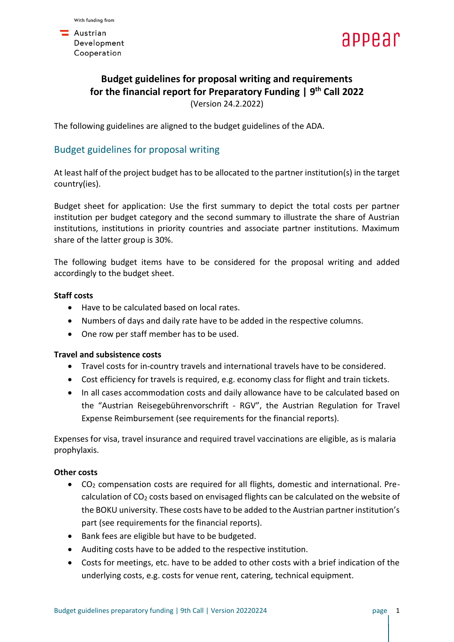$\blacksquare$  Austrian Development Cooperation



# **Budget guidelines for proposal writing and requirements for the financial report for Preparatory Funding | 9 th Call 2022** (Version 24.2.2022)

The following guidelines are aligned to the budget guidelines of the ADA.

# Budget guidelines for proposal writing

At least half of the project budget has to be allocated to the partner institution(s) in the target country(ies).

Budget sheet for application: Use the first summary to depict the total costs per partner institution per budget category and the second summary to illustrate the share of Austrian institutions, institutions in priority countries and associate partner institutions. Maximum share of the latter group is 30%.

The following budget items have to be considered for the proposal writing and added accordingly to the budget sheet.

# **Staff costs**

- Have to be calculated based on local rates.
- Numbers of days and daily rate have to be added in the respective columns.
- One row per staff member has to be used.

## **Travel and subsistence costs**

- Travel costs for in-country travels and international travels have to be considered.
- Cost efficiency for travels is required, e.g. economy class for flight and train tickets.
- In all cases accommodation costs and daily allowance have to be calculated based on the "Austrian Reisegebührenvorschrift - RGV", the Austrian Regulation for Travel Expense Reimbursement (see requirements for the financial reports).

Expenses for visa, travel insurance and required travel vaccinations are eligible, as is malaria prophylaxis.

## **Other costs**

- CO<sup>2</sup> compensation costs are required for all flights, domestic and international. Precalculation of CO<sub>2</sub> costs based on envisaged flights can be calculated on the website of the BOKU university. These costs have to be added to the Austrian partner institution's part (see requirements for the financial reports).
- Bank fees are eligible but have to be budgeted.
- Auditing costs have to be added to the respective institution.
- Costs for meetings, etc. have to be added to other costs with a brief indication of the underlying costs, e.g. costs for venue rent, catering, technical equipment.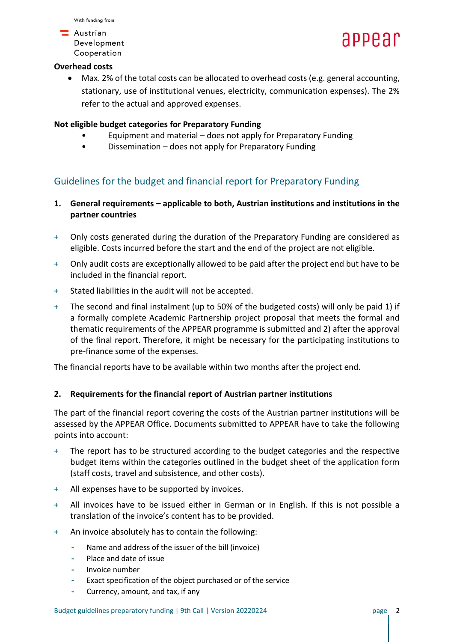

### **Overhead costs**

• Max. 2% of the total costs can be allocated to overhead costs (e.g. general accounting, stationary, use of institutional venues, electricity, communication expenses). The 2% refer to the actual and approved expenses.

## **Not eligible budget categories for Preparatory Funding**

- Equipment and material does not apply for Preparatory Funding
- Dissemination does not apply for Preparatory Funding

# Guidelines for the budget and financial report for Preparatory Funding

- **1. General requirements – applicable to both, Austrian institutions and institutions in the partner countries**
- + Only costs generated during the duration of the Preparatory Funding are considered as eligible. Costs incurred before the start and the end of the project are not eligible.
- + Only audit costs are exceptionally allowed to be paid after the project end but have to be included in the financial report.
- + Stated liabilities in the audit will not be accepted.
- + The second and final instalment (up to 50% of the budgeted costs) will only be paid 1) if a formally complete Academic Partnership project proposal that meets the formal and thematic requirements of the APPEAR programme is submitted and 2) after the approval of the final report. Therefore, it might be necessary for the participating institutions to pre-finance some of the expenses.

The financial reports have to be available within two months after the project end.

## **2. Requirements for the financial report of Austrian partner institutions**

The part of the financial report covering the costs of the Austrian partner institutions will be assessed by the APPEAR Office. Documents submitted to APPEAR have to take the following points into account:

- + The report has to be structured according to the budget categories and the respective budget items within the categories outlined in the budget sheet of the application form (staff costs, travel and subsistence, and other costs).
- + All expenses have to be supported by invoices.
- + All invoices have to be issued either in German or in English. If this is not possible a translation of the invoice's content has to be provided.
- + An invoice absolutely has to contain the following:
	- **-** Name and address of the issuer of the bill (invoice)
	- **-** Place and date of issue
	- **-** Invoice number
	- **-** Exact specification of the object purchased or of the service
	- **-** Currency, amount, and tax, if any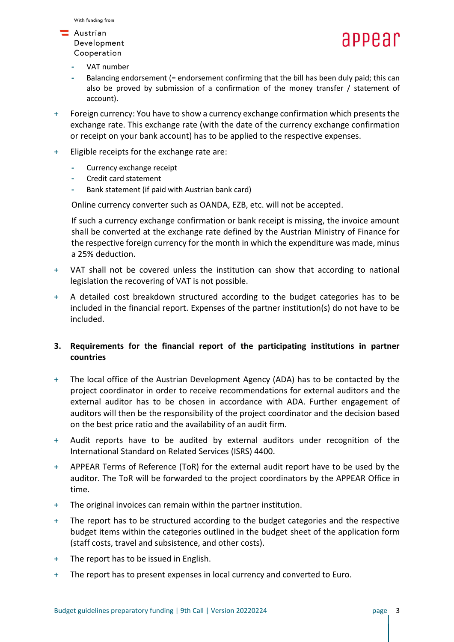# **Austrian**

Development Cooperation



- **-** VAT number
- **-** Balancing endorsement (= endorsement confirming that the bill has been duly paid; this can also be proved by submission of a confirmation of the money transfer / statement of account).
- + Foreign currency: You have to show a currency exchange confirmation which presents the exchange rate. This exchange rate (with the date of the currency exchange confirmation or receipt on your bank account) has to be applied to the respective expenses.
- + Eligible receipts for the exchange rate are:
	- **-** Currency exchange receipt
	- **-** Credit card statement
	- **-** Bank statement (if paid with Austrian bank card)

Online currency converter such as OANDA, EZB, etc. will not be accepted.

If such a currency exchange confirmation or bank receipt is missing, the invoice amount shall be converted at the exchange rate defined by the Austrian Ministry of Finance for the respective foreign currency for the month in which the expenditure was made, minus a 25% deduction.

- + VAT shall not be covered unless the institution can show that according to national legislation the recovering of VAT is not possible.
- + A detailed cost breakdown structured according to the budget categories has to be included in the financial report. Expenses of the partner institution(s) do not have to be included.

# **3. Requirements for the financial report of the participating institutions in partner countries**

- + The local office of the Austrian Development Agency (ADA) has to be contacted by the project coordinator in order to receive recommendations for external auditors and the external auditor has to be chosen in accordance with ADA. Further engagement of auditors will then be the responsibility of the project coordinator and the decision based on the best price ratio and the availability of an audit firm.
- + Audit reports have to be audited by external auditors under recognition of the International Standard on Related Services (ISRS) 4400.
- + APPEAR Terms of Reference (ToR) for the external audit report have to be used by the auditor. The ToR will be forwarded to the project coordinators by the APPEAR Office in time.
- + The original invoices can remain within the partner institution.
- + The report has to be structured according to the budget categories and the respective budget items within the categories outlined in the budget sheet of the application form (staff costs, travel and subsistence, and other costs).
- + The report has to be issued in English.
- + The report has to present expenses in local currency and converted to Euro.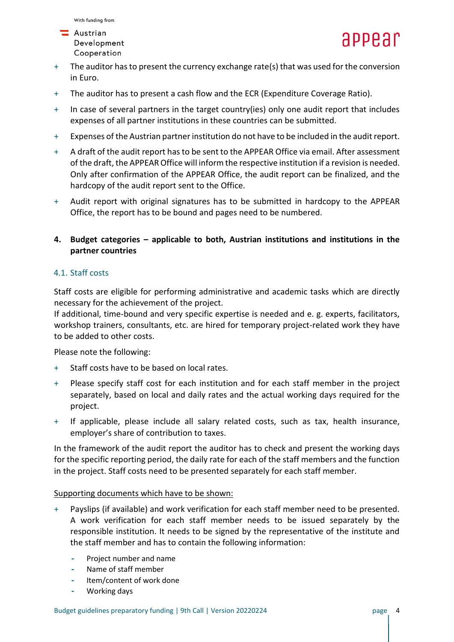

- + The auditor has to present the currency exchange rate(s) that was used for the conversion in Euro.
- + The auditor has to present a cash flow and the ECR (Expenditure Coverage Ratio).
- + In case of several partners in the target country(ies) only one audit report that includes expenses of all partner institutions in these countries can be submitted.
- + Expenses of the Austrian partner institution do not have to be included in the audit report.
- + A draft of the audit report has to be sent to the APPEAR Office via email. After assessment of the draft, the APPEAR Office will inform the respective institution if a revision is needed. Only after confirmation of the APPEAR Office, the audit report can be finalized, and the hardcopy of the audit report sent to the Office.
- + Audit report with original signatures has to be submitted in hardcopy to the APPEAR Office, the report has to be bound and pages need to be numbered.
- **4. Budget categories – applicable to both, Austrian institutions and institutions in the partner countries**

# 4.1. Staff costs

Staff costs are eligible for performing administrative and academic tasks which are directly necessary for the achievement of the project.

If additional, time-bound and very specific expertise is needed and e. g. experts, facilitators, workshop trainers, consultants, etc. are hired for temporary project-related work they have to be added to other costs.

Please note the following:

- + Staff costs have to be based on local rates.
- + Please specify staff cost for each institution and for each staff member in the project separately, based on local and daily rates and the actual working days required for the project.
- + If applicable, please include all salary related costs, such as tax, health insurance, employer's share of contribution to taxes.

In the framework of the audit report the auditor has to check and present the working days for the specific reporting period, the daily rate for each of the staff members and the function in the project. Staff costs need to be presented separately for each staff member.

## Supporting documents which have to be shown:

- + Payslips (if available) and work verification for each staff member need to be presented. A work verification for each staff member needs to be issued separately by the responsible institution. It needs to be signed by the representative of the institute and the staff member and has to contain the following information:
	- **-** Project number and name
	- **-** Name of staff member
	- **-** Item/content of work done
	- **-** Working days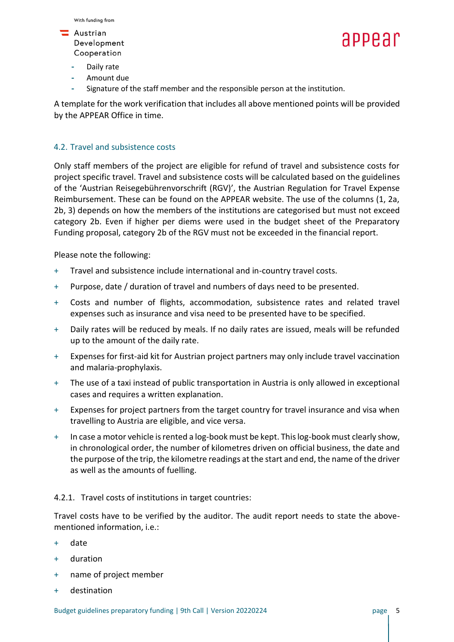

- **-** Daily rate
- **-** Amount due
- **-** Signature of the staff member and the responsible person at the institution.

A template for the work verification that includes all above mentioned points will be provided by the APPEAR Office in time.

### 4.2. Travel and subsistence costs

Only staff members of the project are eligible for refund of travel and subsistence costs for project specific travel. Travel and subsistence costs will be calculated based on the guidelines of the 'Austrian Reisegebührenvorschrift (RGV)', the Austrian Regulation for Travel Expense Reimbursement. These can be found on the APPEAR website. The use of the columns (1, 2a, 2b, 3) depends on how the members of the institutions are categorised but must not exceed category 2b. Even if higher per diems were used in the budget sheet of the Preparatory Funding proposal, category 2b of the RGV must not be exceeded in the financial report.

Please note the following:

- + Travel and subsistence include international and in-country travel costs.
- + Purpose, date / duration of travel and numbers of days need to be presented.
- + Costs and number of flights, accommodation, subsistence rates and related travel expenses such as insurance and visa need to be presented have to be specified.
- + Daily rates will be reduced by meals. If no daily rates are issued, meals will be refunded up to the amount of the daily rate.
- + Expenses for first-aid kit for Austrian project partners may only include travel vaccination and malaria-prophylaxis.
- + The use of a taxi instead of public transportation in Austria is only allowed in exceptional cases and requires a written explanation.
- + Expenses for project partners from the target country for travel insurance and visa when travelling to Austria are eligible, and vice versa.
- + In case a motor vehicle is rented a log-book must be kept. This log-book must clearly show, in chronological order, the number of kilometres driven on official business, the date and the purpose of the trip, the kilometre readings at the start and end, the name of the driver as well as the amounts of fuelling.

4.2.1. Travel costs of institutions in target countries:

Travel costs have to be verified by the auditor. The audit report needs to state the abovementioned information, i.e.:

- + date
- + duration
- + name of project member
- + destination